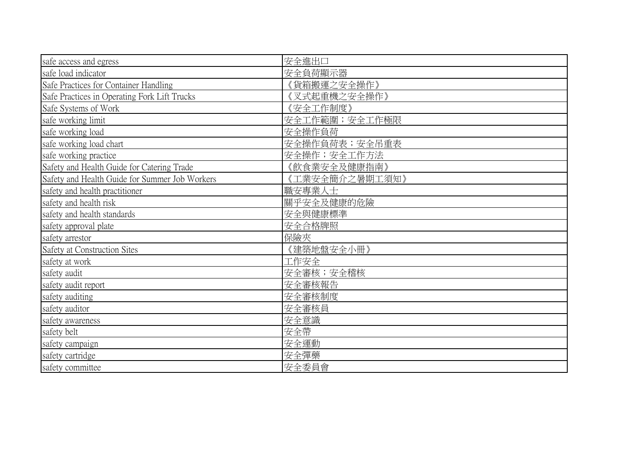| safe access and egress                         | 安全進出口          |
|------------------------------------------------|----------------|
| safe load indicator                            | 安全負荷顯示器        |
| Safe Practices for Container Handling          | 《貨箱搬運之安全操作》    |
| Safe Practices in Operating Fork Lift Trucks   | 《叉式起重機之安全操作》   |
| Safe Systems of Work                           | 《安全工作制度》       |
| safe working limit                             | 安全工作範圍; 安全工作極限 |
| safe working load                              | 安全操作負荷         |
| safe working load chart                        | 安全操作負荷表; 安全吊重表 |
| safe working practice                          | 安全操作;安全工作方法    |
| Safety and Health Guide for Catering Trade     | (飲食業安全及健康指南》   |
| Safety and Health Guide for Summer Job Workers | 《工業安全簡介之暑期工須知》 |
| safety and health practitioner                 | 職安專業人士         |
| safety and health risk                         | 關乎安全及健康的危險     |
| safety and health standards                    | 安全與健康標準        |
| safety approval plate                          | 安全合格牌照         |
| safety arrestor                                | 保險夾            |
| Safety at Construction Sites                   | 《建築地盤安全小冊》     |
| safety at work                                 | 工作安全           |
| safety audit                                   | 安全審核;安全稽核      |
| safety audit report                            | 安全審核報告         |
| safety auditing                                | 安全審核制度         |
| safety auditor                                 | 安全審核員          |
| safety awareness                               | 安全意識           |
| safety belt                                    | 安全帶            |
| safety campaign                                | 安全運動           |
| safety cartridge                               | 安全彈藥           |
| safety committee                               | 安全委員會          |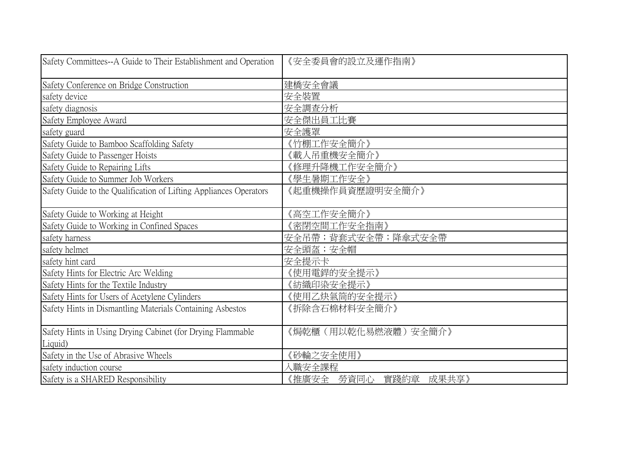| Safety Committees--A Guide to Their Establishment and Operation       | 《安全委員會的設立及運作指南》             |
|-----------------------------------------------------------------------|-----------------------------|
| Safety Conference on Bridge Construction                              | 建橋安全會議                      |
| safety device                                                         | 安全裝置                        |
| safety diagnosis                                                      | 安全調查分析                      |
| Safety Employee Award                                                 | 安全傑出員工比賽                    |
| safety guard                                                          | 安全護罩                        |
| Safety Guide to Bamboo Scaffolding Safety                             | 《竹棚工作安全簡介》                  |
| Safety Guide to Passenger Hoists                                      | (載人吊重機安全簡介)                 |
| Safety Guide to Repairing Lifts                                       | {修理升降機工作安全簡介》               |
| Safety Guide to Summer Job Workers                                    | 《學生暑期工作安全》                  |
| Safety Guide to the Qualification of Lifting Appliances Operators     | 《起重機操作員資歷證明安全簡介》            |
| Safety Guide to Working at Height                                     | 《高空工作安全簡介》                  |
| Safety Guide to Working in Confined Spaces                            | (密閉空間工作安全指南)                |
| safety harness                                                        | 安全吊帶;背套式安全帶;降傘式安全帶          |
| safety helmet                                                         | 安全頭盔;安全帽                    |
| safety hint card                                                      | 安全提示卡                       |
| Safety Hints for Electric Arc Welding                                 | 《使用電銲的安全提示》                 |
| Safety Hints for the Textile Industry                                 | 《紡織印染安全提示》                  |
| Safety Hints for Users of Acetylene Cylinders                         | 《使用乙炔氣筒的安全提示》               |
| Safety Hints in Dismantling Materials Containing Asbestos             | 《拆除含石棉材料安全簡介》               |
| Safety Hints in Using Drying Cabinet (for Drying Flammable<br>Liquid) | 《焗乾櫃(用以乾化易燃液體)安全簡介》         |
| Safety in the Use of Abrasive Wheels                                  | 《砂輪之安全使用》                   |
| safety induction course                                               | 職安全課程                       |
| Safety is a SHARED Responsibility                                     | 實踐約章<br>《推廣安全 勞資同心<br>成果共享》 |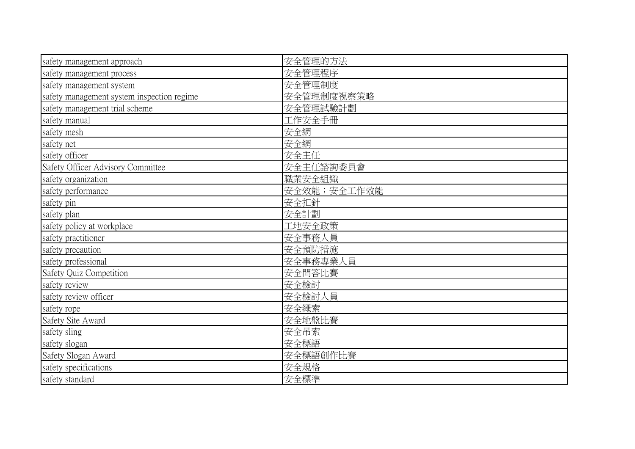| safety management approach                 | 安全管理的方法     |
|--------------------------------------------|-------------|
| safety management process                  | 安全管理程序      |
| safety management system                   | 安全管理制度      |
| safety management system inspection regime | 安全管理制度視察策略  |
| safety management trial scheme             | 安全管理試驗計劃    |
| safety manual                              | 工作安全手冊      |
| safety mesh                                | 安全網         |
| safety net                                 | 安全網         |
| safety officer                             | 安全主任        |
| Safety Officer Advisory Committee          | 安全主任諮詢委員會   |
| safety organization                        | 職業安全組織      |
| safety performance                         | 安全效能;安全工作效能 |
| safety pin                                 | 安全扣針        |
| safety plan                                | 安全計劃        |
| safety policy at workplace                 | 工地安全政策      |
| safety practitioner                        | 安全事務人員      |
| safety precaution                          | 安全預防措施      |
| safety professional                        | 安全事務專業人員    |
| Safety Quiz Competition                    | 安全問答比賽      |
| safety review                              | 安全檢討        |
| safety review officer                      | 安全檢討人員      |
| safety rope                                | 安全繩索        |
| Safety Site Award                          | 安全地盤比賽      |
| safety sling                               | 安全吊索        |
| safety slogan                              | 安全標語        |
| Safety Slogan Award                        | 安全標語創作比賽    |
| safety specifications                      | 安全規格        |
| safety standard                            | 安全標準        |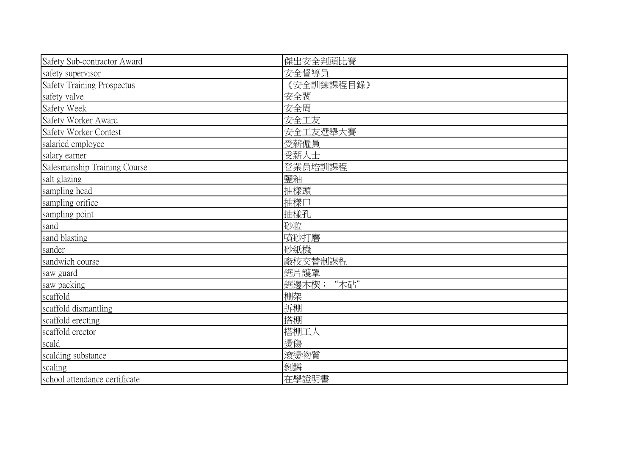| Safety Sub-contractor Award       | 傑出安全判頭比賽      |
|-----------------------------------|---------------|
| safety supervisor                 | 安全督導員         |
| <b>Safety Training Prospectus</b> | 《安全訓練課程目錄》    |
| safety valve                      | 安全閥           |
| Safety Week                       | 安全周           |
| Safety Worker Award               | 安全工友          |
| Safety Worker Contest             | 安全工友選舉大賽      |
| salaried employee                 | 受薪僱員          |
| salary earner                     | 受薪人士          |
| Salesmanship Training Course      | 營業員培訓課程       |
| salt glazing                      | 鹽釉            |
| sampling head                     | 抽樣頭           |
| sampling orifice                  | 抽樣口           |
| sampling point                    | 抽樣孔           |
| sand                              | 砂粒            |
| sand blasting                     | 噴砂打磨          |
| sander                            | 砂紙機           |
| sandwich course                   | 廠校交替制課程       |
| saw guard                         | 鋸片護罩          |
| saw packing                       | "木砧"<br>鋸邊木楔; |
| scaffold                          | 棚架            |
| scaffold dismantling              | 拆棚            |
| scaffold erecting                 | 搭棚            |
| scaffold erector                  | 搭棚工人          |
| scald                             | 燙傷            |
| scalding substance                | 滾燙物質          |
| scaling                           | 剝鱗            |
| school attendance certificate     | 在學證明書         |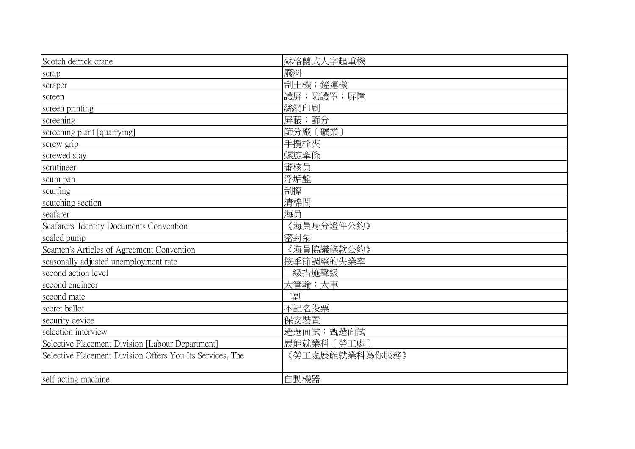| Scotch derrick crane                                      | 蘇格蘭式人字起重機      |
|-----------------------------------------------------------|----------------|
| scrap                                                     | 廢料             |
| scraper                                                   | 刮土機;鏟運機        |
| screen                                                    | 護屏;防護罩;屏障      |
| screen printing                                           | 絲網印刷           |
| screening                                                 | 屏蔽;篩分          |
| screening plant [quarrying]                               | 篩分廠〔礦業〕        |
| screw grip                                                | 手攪栓夾           |
| screwed stay                                              | 螺旋牽條           |
| scrutineer                                                | 審核員            |
| scum pan                                                  | 浮垢盤            |
| scurfing                                                  | 刮擦             |
| scutching section                                         | 清棉間            |
| seafarer                                                  | 海員             |
| Seafarers' Identity Documents Convention                  | 《海員身分證件公約》     |
| sealed pump                                               | 密封泵            |
| Seamen's Articles of Agreement Convention                 | 《海員協議條款公約》     |
| seasonally adjusted unemployment rate                     | 按季節調整的失業率      |
| second action level                                       | 二級措施聲級         |
| second engineer                                           | 大管輪;大車         |
| second mate                                               | 二副             |
| secret ballot                                             | 不記名投票          |
| security device                                           | 保安裝置           |
| selection interview                                       | 遴選面試;甄選面試      |
| Selective Placement Division [Labour Department]          | 展能就業科〔勞工處      |
| Selective Placement Division Offers You Its Services, The | 《勞工處展能就業科為你服務》 |
| self-acting machine                                       | 自動機器           |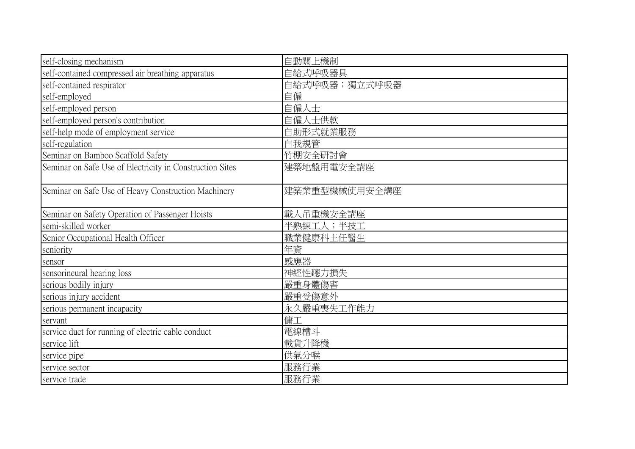| self-closing mechanism                                   | 自動關上機制        |
|----------------------------------------------------------|---------------|
| self-contained compressed air breathing apparatus        | 自給式呼吸器具       |
| self-contained respirator                                | 自給式呼吸器;獨立式呼吸器 |
| self-employed                                            | 自僱            |
| self-employed person                                     | 自僱人士          |
| self-employed person's contribution                      | 自僱人士供款        |
| self-help mode of employment service                     | 自助形式就業服務      |
| self-regulation                                          | 自我規管          |
| Seminar on Bamboo Scaffold Safety                        | 竹棚安全研討會       |
| Seminar on Safe Use of Electricity in Construction Sites | 建築地盤用電安全講座    |
| Seminar on Safe Use of Heavy Construction Machinery      | 建築業重型機械使用安全講座 |
| Seminar on Safety Operation of Passenger Hoists          | 載人吊重機安全講座     |
| semi-skilled worker                                      | 半熟練工人;半技工     |
| Senior Occupational Health Officer                       | 職業健康科主任醫生     |
| seniority                                                | 年資            |
| sensor                                                   | 感應器           |
| sensorineural hearing loss                               | 神經性聽力損失       |
| serious bodily injury                                    | 嚴重身體傷害        |
| serious injury accident                                  | 嚴重受傷意外        |
| serious permanent incapacity                             | 永久嚴重喪失工作能力    |
| servant                                                  | 傭工            |
| service duct for running of electric cable conduct       | 電線槽斗          |
| service lift                                             | 載貨升降機         |
| service pipe                                             | 供氣分喉          |
| service sector                                           | 服務行業          |
| service trade                                            | 服務行業          |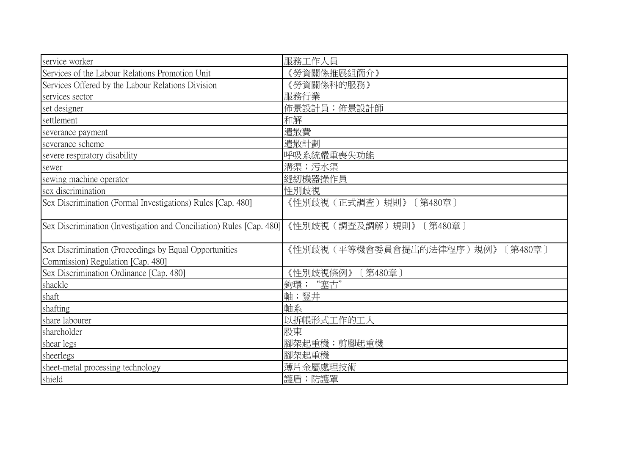| service worker                                                                              | 服務工作人員                              |
|---------------------------------------------------------------------------------------------|-------------------------------------|
| Services of the Labour Relations Promotion Unit                                             | 《勞資關係推展組簡介》                         |
| Services Offered by the Labour Relations Division                                           | 《勞資關係科的服務》                          |
| services sector                                                                             | 服務行業                                |
| set designer                                                                                | 佈景設計員; 佈景設計師                        |
| settlement                                                                                  | 和解                                  |
| severance payment                                                                           | 遣散費                                 |
| severance scheme                                                                            | 遣散計劃                                |
| severe respiratory disability                                                               | 呼吸系統嚴重喪失功能                          |
| sewer                                                                                       | 溝渠;污水渠                              |
| sewing machine operator                                                                     | 縫紉機器操作員                             |
| sex discrimination                                                                          | 性別歧視                                |
| Sex Discrimination (Formal Investigations) Rules [Cap. 480]                                 | 《性別歧視(正式調查)規則》<br>〔第480章〕           |
| Sex Discrimination (Investigation and Conciliation) Rules [Cap. 480]                        | 《性別歧視(調查及調解)規則》<br>[第480章]          |
| Sex Discrimination (Proceedings by Equal Opportunities<br>Commission) Regulation [Cap. 480] | 《性別歧視(平等機會委員會提出的法律程序)規例》<br>〔第480章〕 |
| Sex Discrimination Ordinance [Cap. 480]                                                     | 《性別歧視條例》<br>「第480章」                 |
| shackle                                                                                     | 鉤環; "塞古'                            |
| shaft                                                                                       | 軸;豎井                                |
| shafting                                                                                    | 軸系                                  |
| share labourer                                                                              | 以拆帳形式工作的工人                          |
| shareholder                                                                                 | 股東                                  |
| shear legs                                                                                  | 腳架起重機;剪腳起重機                         |
| sheerlegs                                                                                   | 腳架起重機                               |
| sheet-metal processing technology                                                           | 薄片金屬處理技術                            |
| shield                                                                                      | 護盾;防護罩                              |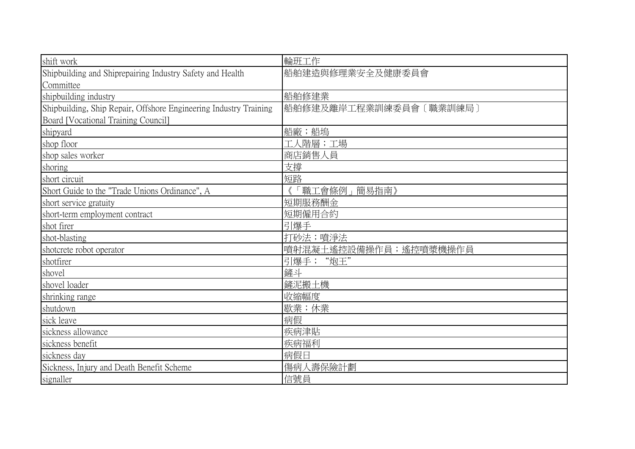| shift work                                                        | 輪班工作                   |
|-------------------------------------------------------------------|------------------------|
| Shipbuilding and Shiprepairing Industry Safety and Health         | 船舶建造與修理業安全及健康委員會       |
| Committee                                                         |                        |
| shipbuilding industry                                             | 船舶修建業                  |
| Shipbuilding, Ship Repair, Offshore Engineering Industry Training | 船舶修建及離岸工程業訓練委員會〔職業訓練局〕 |
| Board [Vocational Training Council]                               |                        |
| shipyard                                                          | 船廠;船塢                  |
| shop floor                                                        | 工人階層;工場                |
| shop sales worker                                                 | 商店銷售人員                 |
| shoring                                                           | 支撐                     |
| short circuit                                                     | 短路                     |
| Short Guide to the "Trade Unions Ordinance", A                    | 職工會條例<br>簡易指南》         |
| short service gratuity                                            | 短期服務酬金                 |
| short-term employment contract                                    | 短期僱用合約                 |
| shot firer                                                        | 引爆手                    |
| shot-blasting                                                     | 打砂法;噴淨法                |
| shotcrete robot operator                                          | 噴射混凝土遙控設備操作員;遙控噴漿機操作員  |
| shotfirer                                                         | 引爆手; "炮王"              |
| shovel                                                            | 鏟斗                     |
| shovel loader                                                     | 鏟泥搬土機                  |
| shrinking range                                                   | 收縮幅度                   |
| shutdown                                                          | 歇業;休業                  |
| sick leave                                                        | 病假                     |
| sickness allowance                                                | 疾病津貼                   |
| sickness benefit                                                  | 疾病福利                   |
| sickness day                                                      | 病假日                    |
| Sickness, Injury and Death Benefit Scheme                         | 傷病人壽保險計劃               |
| signaller                                                         | 信號員                    |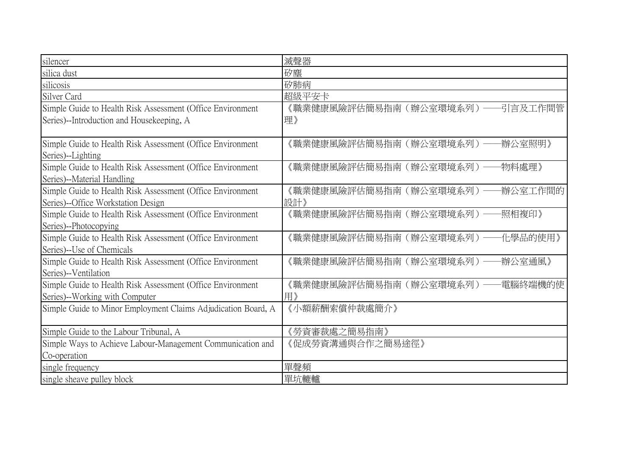| silencer                                                                                          | 滅聲器                                      |
|---------------------------------------------------------------------------------------------------|------------------------------------------|
| silica dust                                                                                       | 矽塵                                       |
| silicosis                                                                                         | 矽肺病                                      |
| Silver Card                                                                                       | 超級平安卡                                    |
| Simple Guide to Health Risk Assessment (Office Environment)                                       | 《職業健康風險評估簡易指南(辦公室環境系列)<br>引言及工作間管        |
| Series)--Introduction and Housekeeping, A                                                         | 理》                                       |
| Simple Guide to Health Risk Assessment (Office Environment)                                       | 《職業健康風險評估簡易指南(辦公室環境系列)<br>辦公室照明》         |
| Series)--Lighting                                                                                 |                                          |
| Simple Guide to Health Risk Assessment (Office Environment)<br>Series)--Material Handling         | 《職業健康風險評估簡易指南(辦公室環境系列)<br>物料處理》          |
| Simple Guide to Health Risk Assessment (Office Environment)<br>Series)--Office Workstation Design | 辦公室工作間的<br>《職業健康風險評估簡易指南(辦公室環境系列)<br>設計》 |
| Simple Guide to Health Risk Assessment (Office Environment)<br>Series)--Photocopying              | 《職業健康風險評估簡易指南(辦公室環境系列)<br>-照相複印》         |
| Simple Guide to Health Risk Assessment (Office Environment)<br>Series)--Use of Chemicals          | 《職業健康風險評估簡易指南(辦公室環境系列)<br>化學品的使用》        |
| Simple Guide to Health Risk Assessment (Office Environment<br>Series)--Ventilation                | 辦公室通風》<br>《職業健康風險評估簡易指南(辦公室環境系列)         |
| Simple Guide to Health Risk Assessment (Office Environment)<br>Series)--Working with Computer     | 《職業健康風險評估簡易指南(辦公室環境系列)<br>電腦終端機的使<br>用》  |
| Simple Guide to Minor Employment Claims Adjudication Board, A                                     | 《小額薪酬索償仲裁處簡介》                            |
| Simple Guide to the Labour Tribunal, A                                                            | 《勞資審裁處之簡易指南》                             |
| Simple Ways to Achieve Labour-Management Communication and                                        | 《促成勞資溝通與合作之簡易途徑》                         |
| Co-operation                                                                                      |                                          |
| single frequency                                                                                  | 單聲頻                                      |
| single sheave pulley block                                                                        | 單坑轆轤                                     |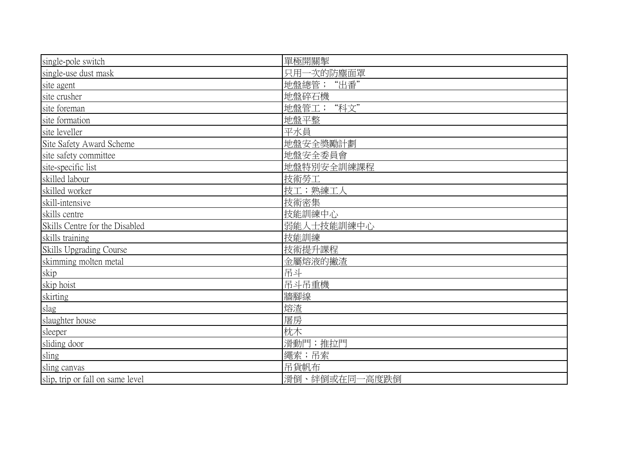| single-pole switch               | 單極開關掣         |
|----------------------------------|---------------|
| single-use dust mask             | 只用一次的防塵面罩     |
| site agent                       | 地盤總管; "出番"    |
| site crusher                     | 地盤碎石機         |
| site foreman                     | 地盤管工; "科文"    |
| site formation                   | 地盤平整          |
| site leveller                    | 平水員           |
| Site Safety Award Scheme         | 地盤安全獎勵計劃      |
| site safety committee            | 地盤安全委員會       |
| site-specific list               | 地盤特別安全訓練課程    |
| skilled labour                   | 技術勞工          |
| skilled worker                   | 技工;熟練工人       |
| skill-intensive                  | 技術密集          |
| skills centre                    | 技能訓練中心        |
| Skills Centre for the Disabled   | 弱能人士技能訓練中心    |
| skills training                  | 技能訓練          |
| <b>Skills Upgrading Course</b>   | 技術提升課程        |
| skimming molten metal            | 金屬熔液的撇渣       |
| skip                             | 吊斗            |
| skip hoist                       | 吊斗吊重機         |
| skirting                         | 牆腳線           |
| slag                             | 熔渣            |
| slaughter house                  | 屠房            |
| sleeper                          | 枕木            |
| sliding door                     | 滑動門; 推拉門      |
| sling                            | 繩索;吊索         |
| sling canvas                     | 吊貨帆布          |
| slip, trip or fall on same level | 滑倒、絆倒或在同一高度跌倒 |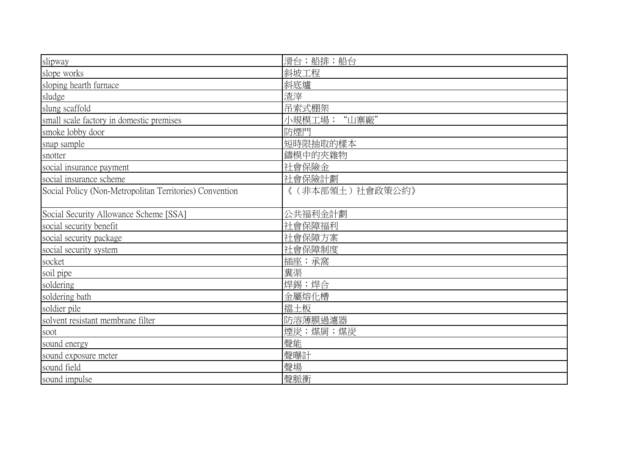| slipway                                                 | 滑台;船排;船台        |
|---------------------------------------------------------|-----------------|
| slope works                                             | 斜坡工程            |
| sloping hearth furnace                                  | 斜底爐             |
| sludge                                                  | 渣滓              |
| slung scaffold                                          | 吊索式棚架           |
| small scale factory in domestic premises                | "山寨廠"<br>小規模工場; |
| smoke lobby door                                        | 防煙門             |
| snap sample                                             | 短時限抽取的樣本        |
| snotter                                                 | 鑄模中的夾雜物         |
| social insurance payment                                | 社會保險金           |
| social insurance scheme                                 | 社會保險計劃          |
| Social Policy (Non-Metropolitan Territories) Convention | 《(非本部領土)社會政策公約》 |
| Social Security Allowance Scheme [SSA]                  | 公共福利金計劃         |
| social security benefit                                 | 社會保障福利          |
| social security package                                 | 社會保障方案          |
| social security system                                  | 社會保障制度          |
| socket                                                  | 插座;承窩           |
| soil pipe                                               | 糞渠              |
| soldering                                               | 焊錫;焊合           |
| soldering bath                                          | 金屬熔化槽           |
| soldier pile                                            | 擋土板             |
| solvent resistant membrane filter                       | 防溶薄膜過濾器         |
| soot                                                    | 煙炭;煤屑;煤炭        |
| sound energy                                            | 聲能              |
| sound exposure meter                                    | 聲曝計             |
| sound field                                             | 聲場              |
| sound impulse                                           | 聲脈衝             |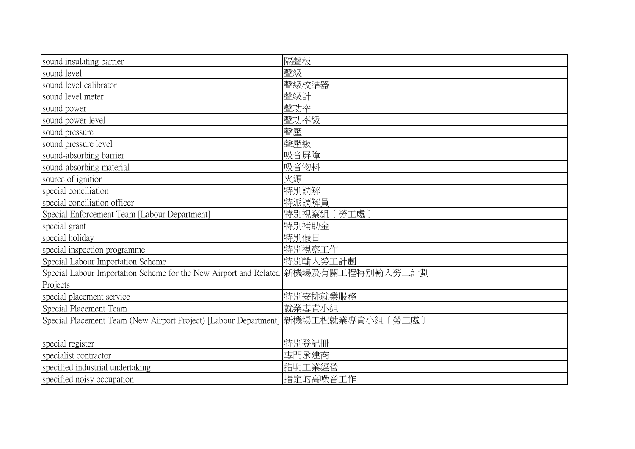| sound insulating barrier                                                            | 隔聲板            |
|-------------------------------------------------------------------------------------|----------------|
| sound level                                                                         | 聲級             |
| sound level calibrator                                                              | 聲級校準器          |
| sound level meter                                                                   | 聲級計            |
| sound power                                                                         | 聲功率            |
| sound power level                                                                   | 聲功率級           |
| sound pressure                                                                      | 聲壓             |
| sound pressure level                                                                | 聲壓級            |
| sound-absorbing barrier                                                             | 吸音屏障           |
| sound-absorbing material                                                            | 吸音物料           |
| source of ignition                                                                  | 火源             |
| special conciliation                                                                | 特別調解           |
| special conciliation officer                                                        | 特派調解員          |
| Special Enforcement Team [Labour Department]                                        | 特別視察組<br>[勞工處] |
| special grant                                                                       | 特別補助金          |
| special holiday                                                                     | 特別假日           |
| special inspection programme                                                        | 特別視察工作         |
| Special Labour Importation Scheme                                                   | 特別輸入勞工計劃       |
| Special Labour Importation Scheme for the New Airport and Related  新機場及有關工程特別輸入勞工計劃 |                |
| Projects                                                                            |                |
| special placement service                                                           | 特別安排就業服務       |
| Special Placement Team                                                              | 就業專責小組         |
| Special Placement Team (New Airport Project) [Labour Department] 新機場工程就業專責小組〔勞工處〕   |                |
|                                                                                     |                |
| special register                                                                    | 特別登記冊          |
| specialist contractor                                                               | 專門承建商          |
| specified industrial undertaking                                                    | 指明工業經營         |
| specified noisy occupation                                                          | 指定的高噪音工作       |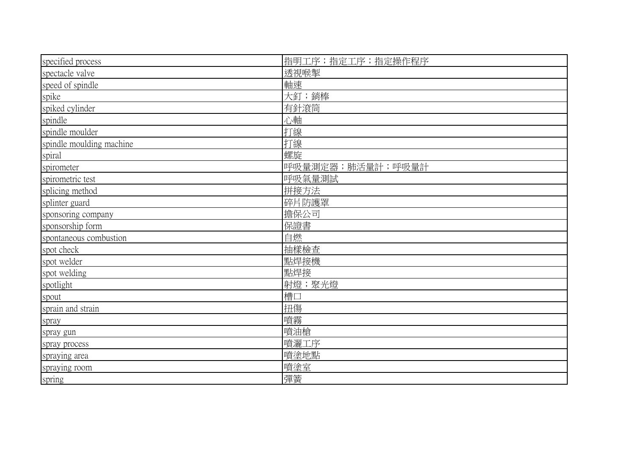| specified process        | 指明工序;指定工序;指定操作程序   |
|--------------------------|--------------------|
| spectacle valve          | 透視喉掣               |
| speed of spindle         | 軸速                 |
| spike                    | 大釘;銷棒              |
| spiked cylinder          | 有針滾筒               |
| spindle                  | 心軸                 |
| spindle moulder          | 打線                 |
| spindle moulding machine | 打線                 |
| spiral                   | 螺旋                 |
| spirometer               | 呼吸量測定器; 肺活量計; 呼吸量計 |
| spirometric test         | 呼吸氣量測試             |
| splicing method          | 拼接方法               |
| splinter guard           | 碎片防護罩              |
| sponsoring company       | 擔保公司               |
| sponsorship form         | 保證書                |
| spontaneous combustion   | 自燃                 |
| spot check               | 抽樣檢查               |
| spot welder              | 點焊接機               |
| spot welding             | 點焊接                |
| spotlight                | 射燈;聚光燈             |
| spout                    | 槽口                 |
| sprain and strain        | 扭傷                 |
| spray                    | 噴霧                 |
| spray gun                | 噴油槍                |
| spray process            | 噴灑工序               |
| spraying area            | 噴塗地點               |
| spraying room            | 噴塗室                |
| spring                   | 彈簧                 |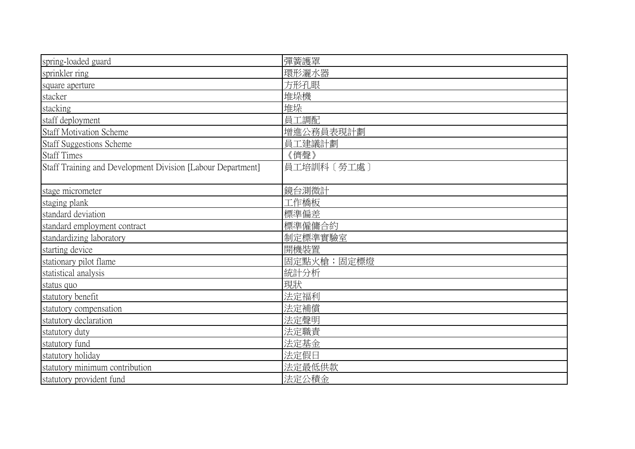| spring-loaded guard                                         | 彈簧護罩       |
|-------------------------------------------------------------|------------|
| sprinkler ring                                              | 環形灑水器      |
| square aperture                                             | 方形孔眼       |
| stacker                                                     | 堆垛機        |
| stacking                                                    | 堆垛         |
| staff deployment                                            | 員工調配       |
| <b>Staff Motivation Scheme</b>                              | 增進公務員表現計劃  |
| <b>Staff Suggestions Scheme</b>                             | 員工建議計劃     |
| <b>Staff Times</b>                                          | 《儕聲》       |
| Staff Training and Development Division [Labour Department] | 員工培訓科〔勞工處〕 |
|                                                             |            |
| stage micrometer                                            | 鏡台測微計      |
| staging plank                                               | 工作橋板       |
| standard deviation                                          | 標準偏差       |
| standard employment contract                                | 標準僱傭合約     |
| standardizing laboratory                                    | 制定標準實驗室    |
| starting device                                             | 開機裝置       |
| stationary pilot flame                                      | 固定點火槍;固定標燈 |
| statistical analysis                                        | 統計分析       |
| status quo                                                  | 現狀         |
| statutory benefit                                           | 法定福利       |
| statutory compensation                                      | 法定補償       |
| statutory declaration                                       | 法定聲明       |
| statutory duty                                              | 法定職責       |
| statutory fund                                              | 法定基金       |
| statutory holiday                                           | 法定假日       |
| statutory minimum contribution                              | 法定最低供款     |
| statutory provident fund                                    | 法定公積金      |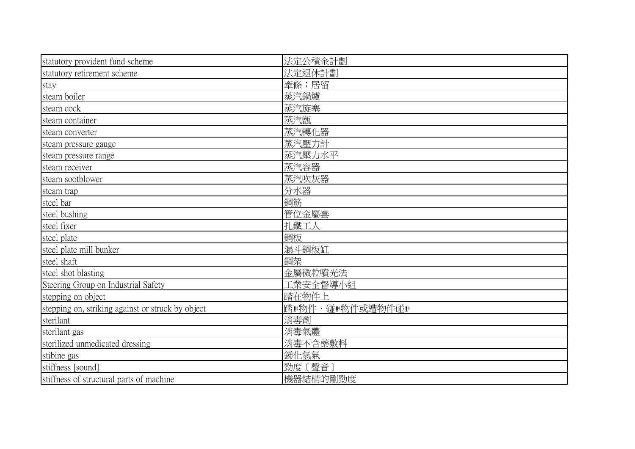| statutory provident fund scheme                   | 法定公積金計劃                |
|---------------------------------------------------|------------------------|
| statutory retirement scheme                       | 法定退休計劃                 |
| stay                                              | 牽條;居留                  |
| steam boiler                                      | 蒸汽鍋爐                   |
| steam cock                                        | 蒸汽旋塞                   |
| steam container                                   | 蒸汽甑                    |
| steam converter                                   | 蒸汽轉化器                  |
| steam pressure gauge                              | 蒸汽壓力計                  |
| steam pressure range                              | 蒸汽壓力水平                 |
| steam receiver                                    | 蒸汽容器                   |
| steam sootblower                                  | 蒸汽吹灰器                  |
| steam trap                                        | 分水器                    |
| steel bar                                         | 鋼筋                     |
| steel bushing                                     | 管位金屬套                  |
| steel fixer                                       | 扎鐵工人                   |
| steel plate                                       | 鋼板                     |
| steel plate mill bunker                           | 漏斗鋼板缸                  |
| steel shaft                                       | 鋼架                     |
| steel shot blasting                               | 金屬微粒噴光法                |
| Steering Group on Industrial Safety               | 工業安全督 <mark>導小組</mark> |
| stepping on object                                | 踏在物件上                  |
| stepping on, striking against or struck by object | 階■物件、碰■物件或遭物件碰■        |
| sterilant                                         | 消毒劑                    |
| sterilant gas                                     | 消毒氣體                   |
| sterilized unmedicated dressing                   | 消毒不含藥敷料                |
| stibine gas                                       | 銻化氫氣                   |
| stiffness [sound]                                 | 勁度〔聲音〕                 |
| stiffness of structural parts of machine          | 機器結構的剛勁度               |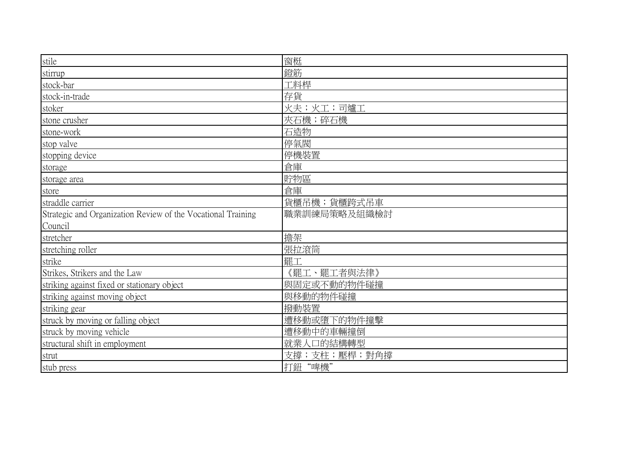| stile                                                        | 窗梃           |
|--------------------------------------------------------------|--------------|
|                                                              |              |
| stirrup                                                      | 鐙筋           |
| stock-bar                                                    | 工料桿          |
| stock-in-trade                                               | 存貨           |
| stoker                                                       | 火夫;火工;司爐工    |
| stone crusher                                                | 夾石機;碎石機      |
| stone-work                                                   | 石造物          |
| stop valve                                                   | 停氣閥          |
| stopping device                                              | 停機裝置         |
| storage                                                      | 倉庫           |
| storage area                                                 | 貯物區          |
| store                                                        | 倉庫           |
| straddle carrier                                             | 貨櫃吊機;貨櫃跨式吊車  |
| Strategic and Organization Review of the Vocational Training | 職業訓練局策略及組織檢討 |
| Council                                                      |              |
| stretcher                                                    | 擔架           |
| stretching roller                                            | 張拉滾筒         |
| strike                                                       | 罷工           |
| Strikes, Strikers and the Law                                | 《罷工、罷工者與法律》  |
| striking against fixed or stationary object                  | 與固定或不動的物件碰撞  |
| striking against moving object                               | 與移動的物件碰撞     |
| striking gear                                                | 撥動裝置         |
| struck by moving or falling object                           | 遭移動或墮下的物件撞擊  |
| struck by moving vehicle                                     | 遭移動中的車輛撞倒    |
| structural shift in employment                               | 就業人口的結構轉型    |
| strut                                                        | 支撐;支柱;壓桿;對角撐 |
| stub press                                                   | 打鈕"啤機"       |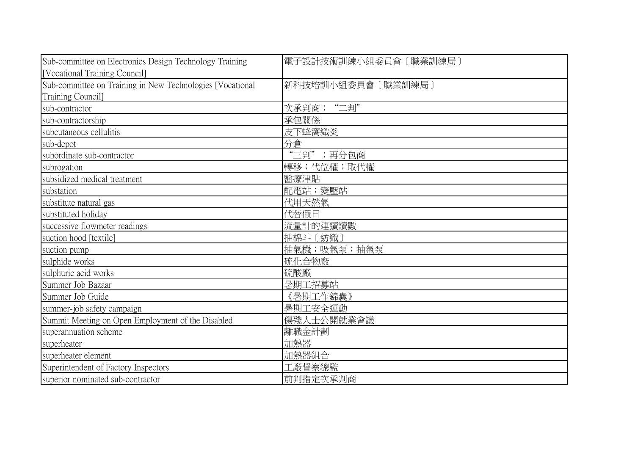| Sub-committee on Electronics Design Technology Training   | 電子設計技術訓練小組委員會〔職業訓練局〕 |
|-----------------------------------------------------------|----------------------|
| [Vocational Training Council]                             |                      |
| Sub-committee on Training in New Technologies [Vocational | 新科技培訓小組委員會 [職業訓練局]   |
| Training Council]                                         |                      |
| sub-contractor                                            | 次承判商;"二判"            |
| sub-contractorship                                        | 承包關係                 |
| subcutaneous cellulitis                                   | 皮下蜂窩織炎               |
| sub-depot                                                 | 分倉                   |
| subordinate sub-contractor                                | "三判";再分包商            |
| subrogation                                               | 轉移;代位權;取代權           |
| subsidized medical treatment                              | 醫療津貼                 |
| substation                                                | 配電站;變壓站              |
| substitute natural gas                                    | 代用天然氣                |
| substituted holiday                                       | 代替假日                 |
| successive flowmeter readings                             | 流量計的連續讀數             |
| suction hood [textile]                                    | 抽棉斗〔紡織〕              |
| suction pump                                              | 抽氣機;吸氣泵;抽氣泵          |
| sulphide works                                            | 硫化合物廠                |
| sulphuric acid works                                      | 硫酸廠                  |
| Summer Job Bazaar                                         | 暑期工招募站               |
| Summer Job Guide                                          | 《暑期工作錦囊》             |
| summer-job safety campaign                                | 暑期工安全運動              |
| Summit Meeting on Open Employment of the Disabled         | 傷殘人士公開就業會議           |
| superannuation scheme                                     | 離職金計劃                |
| superheater                                               | 加熱器                  |
| superheater element                                       | 加熱器組合                |
| Superintendent of Factory Inspectors                      | 1廠督察總監               |
| superior nominated sub-contractor                         | 前判指定次承判商             |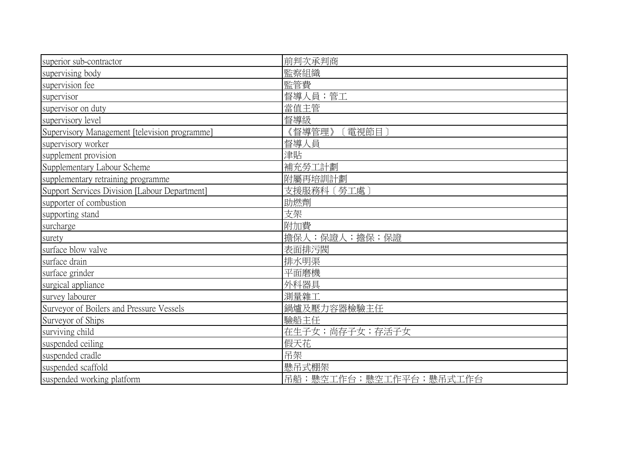| superior sub-contractor                       | 前判次承判商         |
|-----------------------------------------------|----------------|
| supervising body                              | 監察組織           |
| supervision fee                               | 監管費            |
| supervisor                                    | 督導人員;管工        |
| supervisor on duty                            | 當值主管           |
| supervisory level                             | 督導級            |
| Supervisory Management [television programme] | 《督導管理》<br>電視節目 |
| supervisory worker                            | 督導人員           |
| supplement provision                          | 津貼             |
| Supplementary Labour Scheme                   | 補充勞工計劃         |
| supplementary retraining programme            | 附屬再培訓計劃        |
| Support Services Division [Labour Department] | 支援服務科〔勞工處〕     |
| supporter of combustion                       | 助燃劑            |
| supporting stand                              | 支架             |
| surcharge                                     | 附加費            |
| surety                                        | 擔保人;保證人;擔保;保證  |
| surface blow valve                            | 表面排污閥          |
| surface drain                                 | 排水明渠           |
| surface grinder                               | 平面磨機           |
| surgical appliance                            | 外科器具           |
| survey labourer                               | 測量雜工           |
| Surveyor of Boilers and Pressure Vessels      | 鍋爐及壓力容器檢驗主任    |
| Surveyor of Ships                             | 驗船主任           |
| surviving child                               | 在生子女;尚存子女;存活子女 |
| suspended ceiling                             | 假天花            |
| suspended cradle                              | 吊架             |
| suspended scaffold                            | 懸吊式棚架          |
| suspended working platform                    |                |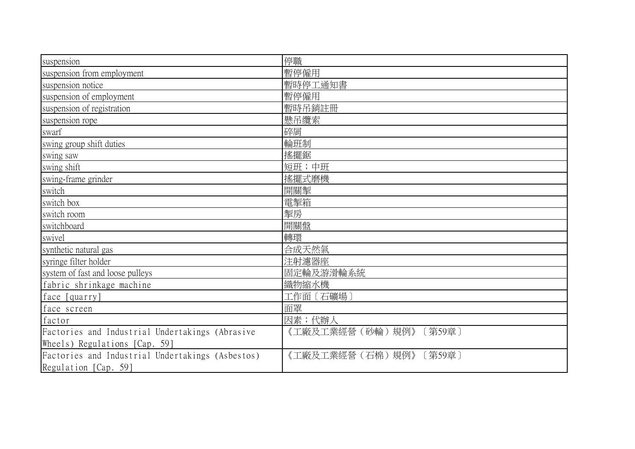| suspension                                       | 停職                          |
|--------------------------------------------------|-----------------------------|
| suspension from employment                       | 暫停僱用                        |
| suspension notice                                | 暫時停工通知書                     |
| suspension of employment                         | 暫停僱用                        |
| suspension of registration                       | 暫時吊銷註冊                      |
| suspension rope                                  | 懸吊纜索                        |
| swarf                                            | 碎屑                          |
| swing group shift duties                         | 輪班制                         |
| swing saw                                        | 搖擺鋸                         |
| swing shift                                      | 短班;中班                       |
| swing-frame grinder                              | 搖擺式磨機                       |
| switch                                           | 開關掣                         |
| switch box                                       | 電掣箱                         |
| switch room                                      | 掣房                          |
| switchboard                                      | 開關盤                         |
| swivel                                           | 轉環                          |
| synthetic natural gas                            | 合成天然氣                       |
| syringe filter holder                            | 注射濾器座                       |
| system of fast and loose pulleys                 | 固定輪及游滑輪系統                   |
| fabric shrinkage machine                         | 織物縮水機                       |
| face [quarry]                                    | 工作面〔石礦場〕                    |
| face screen                                      | 面罩                          |
| factor                                           | 因素;代辦人                      |
| Factories and Industrial Undertakings (Abrasive  | 《工廠及工業經營(砂輪)規例》<br>〔第59章〕   |
| Wheels) Regulations [Cap. 59]                    |                             |
| Factories and Industrial Undertakings (Asbestos) | 《工廠及工業經營(石棉)規例》<br>[ 第59章 ] |
| Regulation [Cap. 59]                             |                             |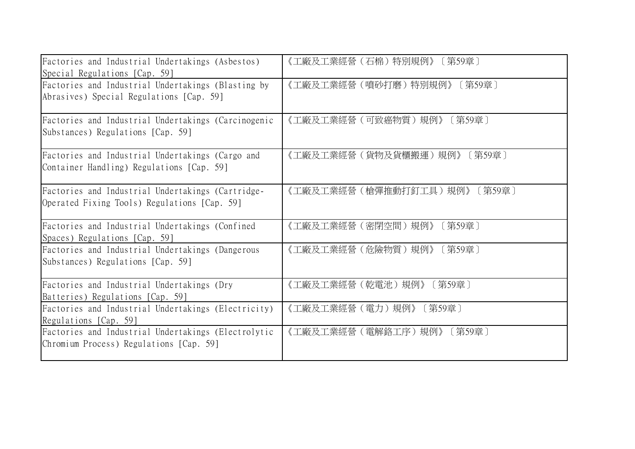| Factories and Industrial Undertakings (Asbestos)    | 《工廠及工業經營(石棉)特別規例》     |
|-----------------------------------------------------|-----------------------|
| Special Regulations [Cap. 59]                       | 〔第59章〕                |
| Factories and Industrial Undertakings (Blasting by  | 《工廠及工業經營(噴砂打磨)特別規例》   |
| Abrasives) Special Regulations [Cap. 59]            | 〔第59章〕                |
| Factories and Industrial Undertakings (Carcinogenic | 《工廠及工業經營(可致癌物質)規例》    |
| Substances) Regulations [Cap. 59]                   | 〔第59章〕                |
| Factories and Industrial Undertakings (Cargo and    | 《工廠及工業經營(貨物及貨櫃搬運)規例》  |
| Container Handling) Regulations [Cap. 59]           | 〔第59章〕                |
| Factories and Industrial Undertakings (Cartridge-   | 《工廠及工業經營(槍彈推動打釘工具)規例》 |
| Operated Fixing Tools) Regulations [Cap. 59]        | 〔第59章〕                |
| Factories and Industrial Undertakings (Confined     | 《工廠及工業經營(密閉空間)規例》     |
| Spaces) Regulations [Cap. 59]                       | 〔第59章〕                |
| Factories and Industrial Undertakings (Dangerous    | 《工廠及工業經營(危險物質)規例》     |
| Substances) Regulations [Cap. 59]                   | 〔第59章〕                |
| Factories and Industrial Undertakings (Dry          | 《工廠及工業經營(乾電池)規例》      |
| Batteries) Regulations [Cap. 59]                    | [第59章]                |
| Factories and Industrial Undertakings (Electricity) | 《工廠及工業經營(電力)規例》       |
| Regulations [Cap. 59]                               | 〔第59章〕                |
| Factories and Industrial Undertakings (Electrolytic | 《工廠及工業經營(電解鉻工序)規例》    |
| Chromium Process) Regulations [Cap. 59]             | 〔第59章〕                |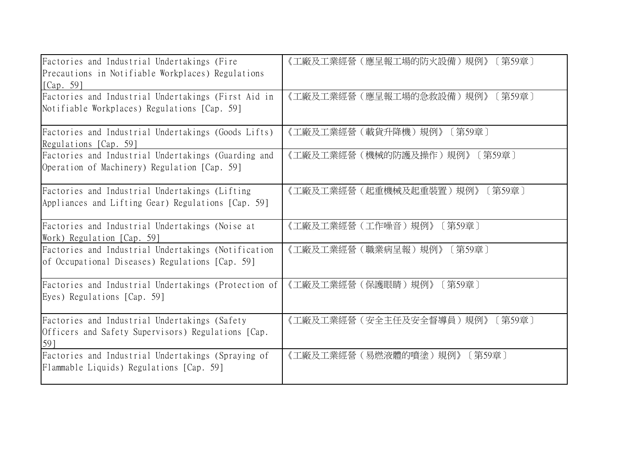| Factories and Industrial Undertakings (Fire<br>Precautions in Notifiable Workplaces) Regulations<br>[ $Cap. 59$ ] | 《工廠及工業經營(應呈報工場的防火設備)規例》<br>〔第59章〕 |
|-------------------------------------------------------------------------------------------------------------------|-----------------------------------|
| Factories and Industrial Undertakings (First Aid in                                                               | 《工廠及工業經營(應呈報工場的急救設備)規例》           |
| Notifiable Workplaces) Regulations [Cap. 59]                                                                      | 〔第59章〕                            |
| Factories and Industrial Undertakings (Goods Lifts)                                                               | 《工廠及工業經營(載貨升降機)規例》                |
| Regulations [Cap. 59]                                                                                             | 〔第59章〕                            |
| Factories and Industrial Undertakings (Guarding and                                                               | 《工廠及工業經營(機械的防護及操作)規例》             |
| Operation of Machinery) Regulation [Cap. 59]                                                                      | 〔第59章〕                            |
| Factories and Industrial Undertakings (Lifting                                                                    | 《工廠及工業經營(起重機械及起重裝置)規例》            |
| Appliances and Lifting Gear) Regulations [Cap. 59]                                                                | 〔第59章〕                            |
| Factories and Industrial Undertakings (Noise at                                                                   | 《工廠及工業經營(工作噪音)規例》                 |
| Work) Regulation [Cap. 59]                                                                                        | 第59章 ]                            |
| Factories and Industrial Undertakings (Notification                                                               | 《工廠及工業經營(職業病呈報)規例》                |
| of Occupational Diseases) Regulations [Cap. 59]                                                                   | 〔第59章〕                            |
| Factories and Industrial Undertakings (Protection of                                                              | 《工廠及工業經營(保護眼睛)規例》                 |
| Eyes) Regulations [Cap. 59]                                                                                       | 〔第59章〕                            |
| Factories and Industrial Undertakings (Safety<br>Officers and Safety Supervisors) Regulations [Cap.<br>59]        | 《工廠及工業經營(安全主任及安全督導員)規例》<br>〔第59章〕 |
| Factories and Industrial Undertakings (Spraying of                                                                | 《工廠及工業經營(易燃液體的噴塗)規例》              |
| Flammable Liquids) Regulations [Cap. 59]                                                                          | 〔第59章〕                            |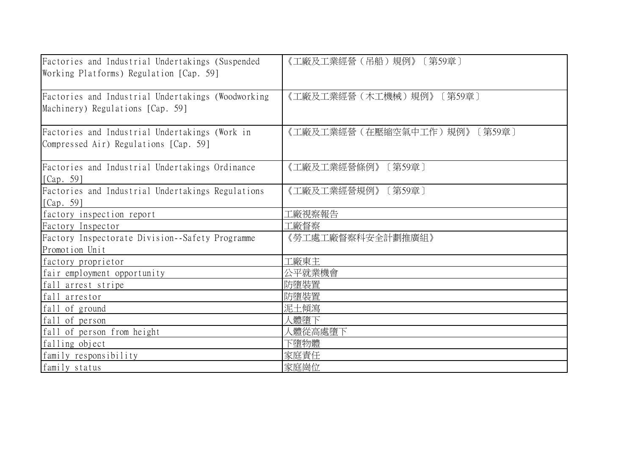| Factories and Industrial Undertakings (Suspended<br>Working Platforms) Regulation [Cap. 59] | 《工廠及工業經營(吊船)規例》〔第59章〕           |
|---------------------------------------------------------------------------------------------|---------------------------------|
| Factories and Industrial Undertakings (Woodworking<br>Machinery) Regulations [Cap. 59]      | 《工廠及工業經營(木工機械)規例》<br>〔第59章〕     |
| Factories and Industrial Undertakings (Work in<br>Compressed Air) Regulations [Cap. 59]     | 《工廠及工業經營(在壓縮空氣中工作)規例》<br>〔第59章〕 |
| Factories and Industrial Undertakings Ordinance<br>[Cap. 59]                                | 《工廠及工業經營條例》<br>〔第59章〕           |
| Factories and Industrial Undertakings Regulations<br>[Cap. 59]                              | 《工廠及工業經營規例》<br>〔第59章〕           |
| factory inspection report                                                                   | !廠視察報告                          |
| Factory Inspector                                                                           | L廠督察                            |
| Factory Inspectorate Division-Safety Programme<br>Promotion Unit                            | 《勞工處工廠督察科安全計劃推廣組》               |
| factory proprietor                                                                          | 工廠東主                            |
| fair employment opportunity                                                                 | 公平就業機會                          |
| fall arrest stripe                                                                          | 防墮裝置                            |
| fall arrestor                                                                               | 防墮裝置                            |
| fall of ground                                                                              | 泥土傾瀉                            |
| fall of person                                                                              | 人體墮下                            |
| fall of person from height                                                                  | 人體從高處墮下                         |
| falling object                                                                              | 下墮物體                            |
| family responsibility                                                                       | 家庭責任                            |
| family status                                                                               | 家庭崗位                            |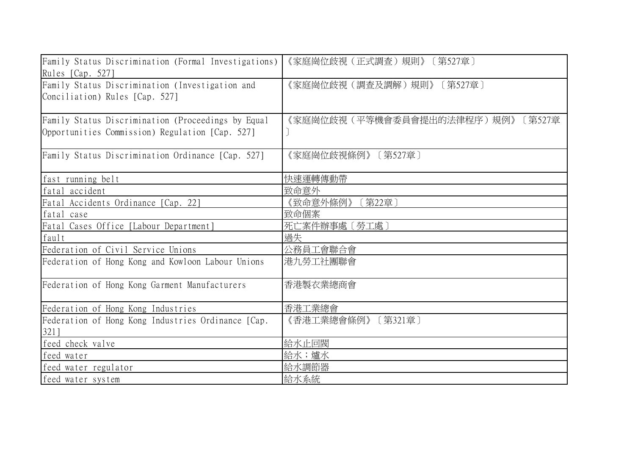| Family Status Discrimination (Formal Investigations)<br>Rules [Cap. 527]                              | 《家庭崗位歧視(正式調查)規則》〔第527章〕              |
|-------------------------------------------------------------------------------------------------------|--------------------------------------|
| Family Status Discrimination (Investigation and<br>Conciliation) Rules [Cap. 527]                     | 《家庭崗位歧視(調查及調解)規則》<br>[第527章]         |
| Family Status Discrimination (Proceedings by Equal<br>Opportunities Commission) Regulation [Cap. 527] | 《家庭崗位歧視(平等機會委員會提出的法律程序)規例》<br>〔第527章 |
| Family Status Discrimination Ordinance [Cap. 527]                                                     | 《家庭崗位歧視條例》<br>[第527章]                |
| fast running belt                                                                                     | 快速運轉傳動帶                              |
| fatal accident                                                                                        | 致命意外                                 |
| Fatal Accidents Ordinance [Cap. 22]                                                                   | 《致命意外條例》<br>〔第22章〕                   |
| fatal case                                                                                            | 致命個案                                 |
| Fatal Cases Office [Labour Department]                                                                | 死亡案件辦事處〔勞工處〕                         |
| fault                                                                                                 | 過失                                   |
| Federation of Civil Service Unions                                                                    | 公務員工會聯合會                             |
| Federation of Hong Kong and Kowloon Labour Unions                                                     | 港九勞工社團聯會                             |
| Federation of Hong Kong Garment Manufacturers                                                         | 香港製衣業總商會                             |
| Federation of Hong Kong Industries                                                                    | 香港工業總會                               |
| Federation of Hong Kong Industries Ordinance [Cap.<br>321]                                            | [第321章]<br>《香港工業總會條例》                |
| feed check valve                                                                                      | 給水止回閥                                |
| feed water                                                                                            | 給水;爐水                                |
| feed water regulator                                                                                  | 給水調節器                                |
| feed water system                                                                                     | 給水系統                                 |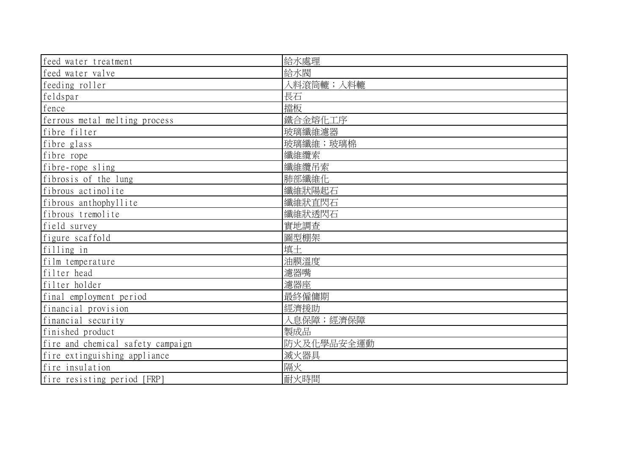| feed water treatment              | 給水處理       |
|-----------------------------------|------------|
| feed water valve                  | 給水閥        |
| feeding roller                    | 入料滾筒轆;入料轆  |
| feldspar                          | 長石         |
| fence                             | 擋板         |
| ferrous metal melting process     | 鐵合金熔化工序    |
| fibre filter                      | 玻璃纖維濾器     |
| fibre glass                       | 玻璃纖維;玻璃棉   |
| fibre rope                        | 纖維纜索       |
| fibre-rope sling                  | 纖維纜吊索      |
| fibrosis of the lung              | 肺部纖維化      |
| fibrous actinolite                | 纖維狀陽起石     |
| fibrous anthophyllite             | 纖維狀直閃石     |
| fibrous tremolite                 | 纖維狀透閃石     |
| field survey                      | 實地調查       |
| figure scaffold                   | 圖型棚架       |
| filling in                        | 填土         |
| film temperature                  | 油膜溫度       |
| filter head                       | 濾器嘴        |
| filter holder                     | 濾器座        |
| final employment period           | 最終僱傭期      |
| financial provision               | 經濟援助       |
| financial security                | 入息保障;經濟保障  |
| finished product                  | 製成品        |
| fire and chemical safety campaign | 防火及化學品安全運動 |
| fire extinguishing appliance      | 滅火器具       |
| fire insulation                   | 隔火         |
| fire resisting period [FRP]       | 耐火時間       |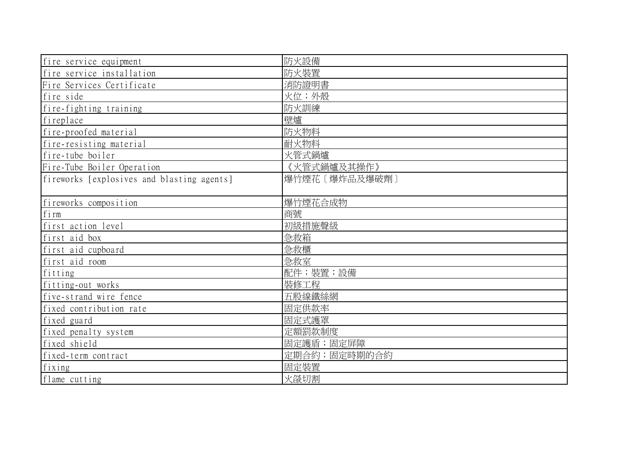| fire service equipment                     | 防火設備          |
|--------------------------------------------|---------------|
| fire service installation                  | 防火裝置          |
| Fire Services Certificate                  | 消防證明書         |
| fire side                                  | 火位;外殼         |
| fire-fighting training                     | 防火訓練          |
| fireplace                                  | 壁爐            |
| fire-proofed material                      | 防火物料          |
| fire-resisting material                    | 耐火物料          |
| fire-tube boiler                           | 火管式鍋爐         |
| Fire-Tube Boiler Operation                 | 《火管式鍋爐及其操作》   |
| fireworks [explosives and blasting agents] | 爆竹煙花〔爆炸品及爆破劑〕 |
|                                            |               |
| fireworks composition                      | 爆竹煙花合成物       |
| firm                                       | 商號            |
| first action level                         | 初級措施聲級        |
| first aid box                              | 急救箱           |
| first aid cupboard                         | 急救櫃           |
| first aid room                             | 急救室           |
| fitting                                    | 配件; 裝置; 設備    |
| fitting-out works                          | 裝修工程          |
| five-strand wire fence                     | 五股線鐵絲網        |
| fixed contribution rate                    | 固定供款率         |
| fixed guard                                | 固定式護罩         |
| fixed penalty system                       | 定額罰款制度        |
| fixed shield                               | 固定護盾;固定屏障     |
| fixed-term contract                        | 定期合約;固定時期的合約  |
| fixing                                     | 固定裝置          |
| flame cutting                              | 火燄切割          |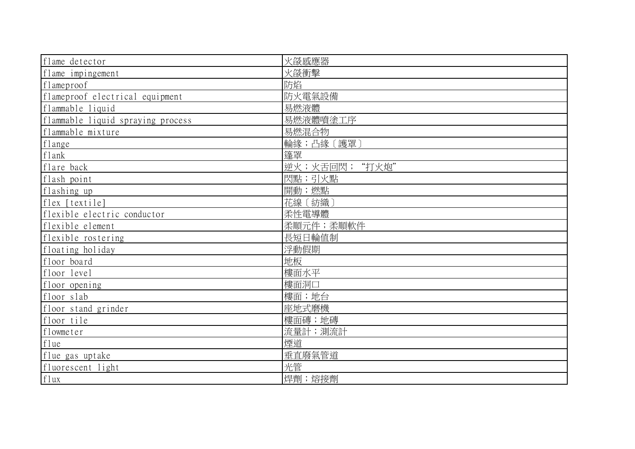| flame detector                    | 火燄感應器         |
|-----------------------------------|---------------|
| flame impingement                 | 火燄衝擊          |
| flameproof                        | 防焰            |
| flameproof electrical equipment   | 防火電氣設備        |
| flammable liquid                  | 易燃液體          |
| flammable liquid spraying process | 易燃液體噴塗工序      |
| flammable mixture                 | 易燃混合物         |
| flange                            | 輪緣;凸緣〔護罩〕     |
| flank                             | 篷罩            |
| flare back                        | 逆火;火舌回閃;"打火炮" |
| flash point                       | 閃點;引火點        |
| flashing up                       | 開動;燃點         |
| flex [textile]                    | 花線〔紡織〕        |
| flexible electric conductor       | 柔性電導體         |
| flexible element                  | 柔順元件;柔順軟件     |
| flexible rostering                | 長短日輪值制        |
| floating holiday                  | 浮動假期          |
| floor board                       | 地板            |
| floor level                       | 樓面水平          |
| floor opening                     | 樓面洞口          |
| floor slab                        | 樓面;地台         |
| floor stand grinder               | 座地式磨機         |
| floor tile                        | 樓面磚;地磚        |
| flowmeter                         | 流量計;測流計       |
| flue                              | 煙道            |
| flue gas uptake                   | 垂直廢氣管道        |
| fluorescent light                 | 光管            |
| flux                              | 焊劑;熔接劑        |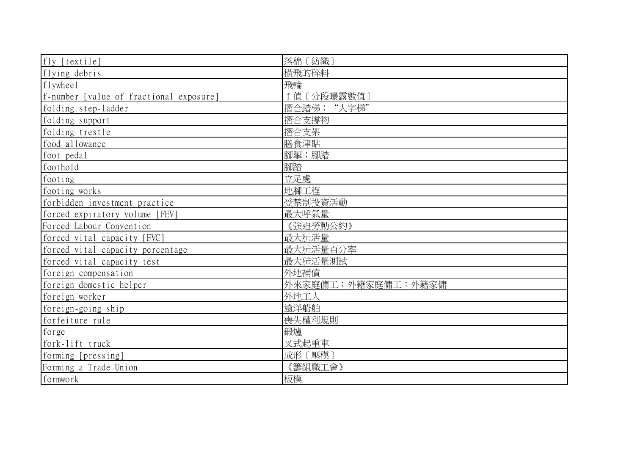| fly [textile]                           | 落棉〔紡織〕             |
|-----------------------------------------|--------------------|
| flying debris                           | 横飛的碎料              |
| flywheel                                | 飛輪                 |
| f-number [value of fractional exposure] | f 值 [分段曝露數值]       |
| folding step-ladder                     | 摺合踏梯; "人字梯"        |
| folding support                         | 摺合支撐物              |
| folding trestle                         | 摺合支架               |
| food allowance                          | 膳食津貼               |
| foot pedal                              | 腳掣;腳踏              |
| foothold                                | 腳踏                 |
| footing                                 | 立足處                |
| footing works                           | 地腳工程               |
| forbidden investment practice           | 受禁制投資活動            |
| forced expiratory volume [FEV]          | 最大呼氣量              |
| Forced Labour Convention                | 《強迫勞動公約》           |
| forced vital capacity [FVC]             | 最大肺活量              |
| forced vital capacity percentage        | 最大肺活量百分率           |
| forced vital capacity test              | 最大肺活量測試            |
| foreign compensation                    | 外地補償               |
| foreign domestic helper                 | 外來家庭傭工;外籍家庭傭工;外籍家傭 |
| foreign worker                          | 外地工人               |
| foreign-going ship                      | 遠洋船舶               |
| forfeiture rule                         | 喪失權利規則             |
| forge                                   | 鍛爐                 |
| fork-lift truck                         | 叉式起重車              |
| forming [pressing]                      | 成形〔壓模〕             |
| Forming a Trade Union                   | 《籌組職工會》            |
| formwork                                | 板模                 |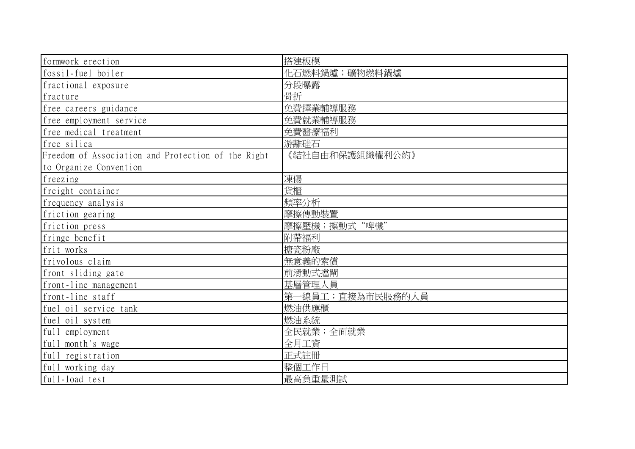| formwork erection                                  | 搭建板模             |
|----------------------------------------------------|------------------|
| fossil-fuel boiler                                 | 化石燃料鍋爐;礦物燃料鍋爐    |
| fractional exposure                                | 分段曝露             |
| fracture                                           | 骨折               |
| free careers guidance                              | 免費擇業輔導服務         |
| free employment service                            | 免費就業輔導服務         |
| free medical treatment                             | 免費醫療福利           |
| free silica                                        | 游離硅石             |
| Freedom of Association and Protection of the Right | 《結社自由和保護組織權利公約》  |
| to Organize Convention                             |                  |
| freezing                                           | 凍傷               |
| freight container                                  | 貨櫃               |
| frequency analysis                                 | 頻率分析             |
| friction gearing                                   | 摩擦傳動裝置           |
| friction press                                     | 摩擦壓機;擦動式"啤機"     |
| fringe benefit                                     | 附帶福利             |
| frit works                                         | 搪瓷粉廠             |
| frivolous claim                                    | 無意義的索償           |
| front sliding gate                                 | 前滑動式擋閘           |
| front-line management                              | 基層管理人員           |
| front-line staff                                   | 第一線員工;直接為市民服務的人員 |
| fuel oil service tank                              | 燃油供應櫃            |
| fuel oil system                                    | 燃油系統             |
| full employment                                    | 全民就業;全面就業        |
| full_month's wage                                  | 全月工資             |
| full registration                                  | 正式註冊             |
| full working day                                   | 整個工作日            |
| full-load test                                     | 最高負重量測試          |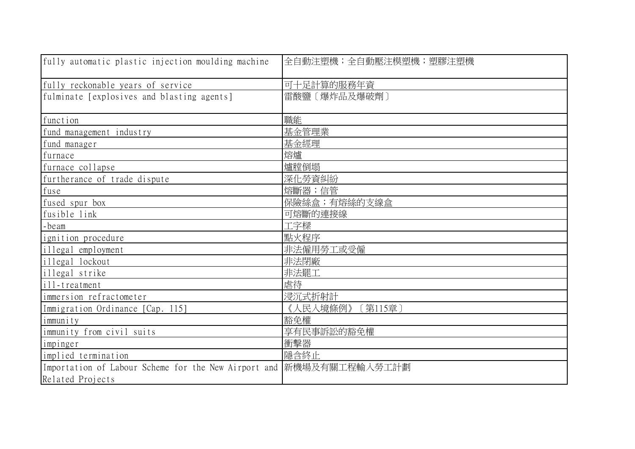| fully automatic plastic injection moulding machine                  | 全自動注塑機;全自動壓注模塑機;塑膠注塑機 |
|---------------------------------------------------------------------|-----------------------|
| fully reckonable years of service                                   | 可十足計算的服務年資            |
| fulminate [explosives and blasting agents]                          | 雷酸鹽〔爆炸品及爆破劑〕          |
| function                                                            | 職能                    |
| fund management industry                                            | 基金管理業                 |
| fund manager                                                        | 基金經理                  |
| furnace                                                             | 熔爐                    |
| furnace collapse                                                    | 爐膛倒塌                  |
| furtherance of trade dispute                                        | 深化勞資糾紛                |
| fuse                                                                | 熔斷器;信管                |
| fused spur box                                                      | 保險絲盒;有熔絲的支線盒          |
| fusible link                                                        | 可熔斷的連接線               |
| -beam                                                               | 工字樑                   |
| ignition procedure                                                  | 點火程序                  |
| illegal employment                                                  | 非法僱用勞工或受僱             |
| illegal lockout                                                     | 非法閉廠                  |
| illegal strike                                                      | 非法罷工                  |
| $i11$ -treatment                                                    | 虐待                    |
| immersion refractometer                                             | 浸沉式折射計                |
| Immigration Ordinance [Cap. 115]                                    | [第115章]<br>《人民入境條例》   |
| immunity                                                            | 豁免權                   |
| immunity from civil suits                                           | 享有民事訴訟的豁免權            |
| impinger                                                            | 衝擊器                   |
| implied termination                                                 | 隱含終止                  |
| Importation of Labour Scheme for the New Airport and 新機場及有關工程輸入勞工計劃 |                       |
| Related Projects                                                    |                       |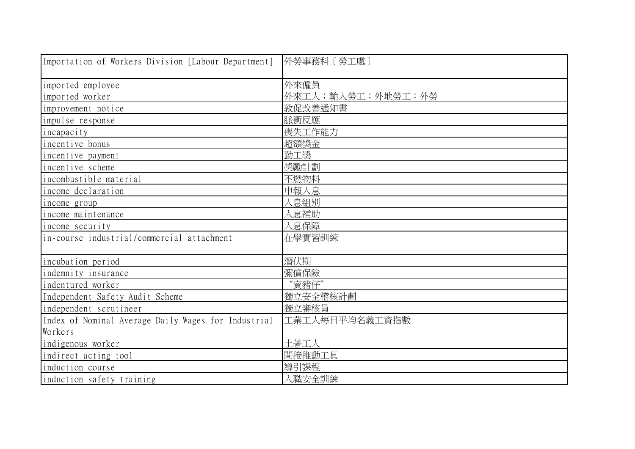| Importation of Workers Division [Labour Department] | 外勞事務科〔勞工處〕        |
|-----------------------------------------------------|-------------------|
| imported employee                                   | 外來僱員              |
| imported worker                                     | 外來工人;輸入勞工;外地勞工;外勞 |
| improvement notice                                  | 敦促改善通知書           |
| impulse response                                    | 脈衝反應              |
| incapacity                                          | 喪失工作能力            |
| incentive bonus                                     | 超額獎金              |
| incentive payment                                   | 勤工獎               |
| incentive scheme                                    | 獎勵計劃              |
| incombustible material                              | 不燃物料              |
| income declaration                                  | 申報入息              |
| income group                                        | 入息組別              |
| income maintenance                                  | 入息補助              |
| income security                                     | 入息保障              |
| in-course industrial/commercial attachment          | 在學實習訓練            |
| incubation period                                   | 潛伏期               |
| indemnity insurance                                 | 彌償保險              |
| indentured worker                                   | "賣豬仔"             |
| Independent Safety Audit Scheme                     | 獨立安全稽核計劃          |
| independent scrutineer                              | 獨立審核員             |
| Index of Nominal Average Daily Wages for Industrial | 工業工人每日平均名義工資指數    |
| Workers                                             |                   |
| indigenous worker                                   | 土著工人              |
| indirect acting tool                                | 間接推動工具            |
| induction course                                    | 導引課程              |
| induction safety training                           | 入職安全訓練            |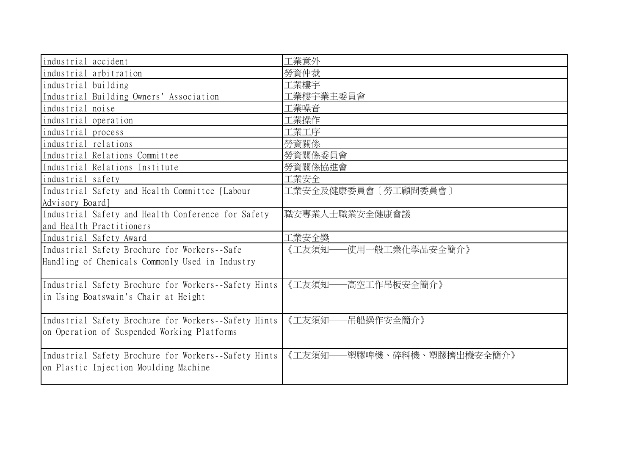| industrial accident                                  | 工業意外                           |
|------------------------------------------------------|--------------------------------|
| industrial arbitration                               | 勞資仲裁                           |
| industrial building                                  | 工業樓宇                           |
| Industrial Building Owners' Association              | 工業樓宇業主委員會                      |
| industrial noise                                     | 工業噪音                           |
| industrial operation                                 | 工業操作                           |
| industrial process                                   | 工業工序                           |
| industrial relations                                 | 勞資關係                           |
| Industrial Relations Committee                       | 勞資關係委員會                        |
| Industrial Relations Institute                       | 勞資關係協進會                        |
| industrial safety                                    | 工業安全                           |
| Industrial Safety and Health Committee [Labour       | 工業安全及健康委員會〔勞工顧問委員會〕            |
| Advisory Board]                                      |                                |
| Industrial Safety and Health Conference for Safety   | 職安專業人士職業安全健康會議                 |
| and Health Practitioners                             |                                |
| Industrial Safety Award                              | 工業安全獎                          |
| Industrial Safety Brochure for Workers--Safe         | ·使用一般工業化學品安全簡介》<br>《工友須知-      |
| Handling of Chemicals Commonly Used in Industry      |                                |
|                                                      |                                |
| Industrial Safety Brochure for Workers--Safety Hints | 《工友須知-<br>-高空工作吊板安全簡介》         |
| in Using Boatswain's Chair at Height                 |                                |
|                                                      |                                |
| Industrial Safety Brochure for Workers--Safety Hints | 《工友須知-<br>-吊船操作安全簡介》           |
| on Operation of Suspended Working Platforms          |                                |
|                                                      |                                |
| Industrial Safety Brochure for Workers--Safety Hints | 《工友須知-<br>-塑膠啤機、碎料機、塑膠擠出機安全簡介》 |
| on Plastic Injection Moulding Machine                |                                |
|                                                      |                                |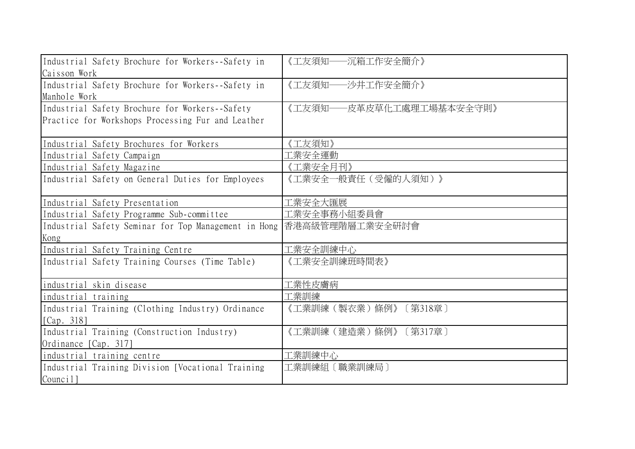| Industrial Safety Brochure for Workers--Safety in    | 《工友須知――沉箱工作安全簡介》         |
|------------------------------------------------------|--------------------------|
| Caisson Work                                         |                          |
| Industrial Safety Brochure for Workers--Safety in    | 《工友須知一<br>一沙井工作安全簡介》     |
| Manhole Work                                         |                          |
| Industrial Safety Brochure for Workers--Safety       | 《工友須知――皮革皮草化工處理工場基本安全守則》 |
| Practice for Workshops Processing Fur and Leather    |                          |
|                                                      |                          |
| Industrial Safety Brochures for Workers              | 《工友須知》                   |
| Industrial Safety Campaign                           | L業安全運動                   |
| Industrial Safety Magazine                           | 《工業安全月刊》                 |
| Industrial Safety on General Duties for Employees    | 《工業安全一般責任(受僱的人須知)》       |
|                                                      |                          |
| Industrial Safety Presentation                       | L業安全大匯展                  |
| Industrial Safety Programme Sub-committee            | 工業安全事務小組委員會              |
| Industrial Safety Seminar for Top Management in Hong | 香港高級管理階層工業安全研討會          |
| Kong                                                 |                          |
| Industrial Safety Training Centre                    | 工業安全訓練中心                 |
| Industrial Safety Training Courses (Time Table)      | 《工業安全訓練班時間表》             |
|                                                      |                          |
| industrial skin disease                              | 工業性皮膚病                   |
| industrial training                                  | 工業訓練                     |
| Industrial Training (Clothing Industry) Ordinance    | 《工業訓練(製衣業)條例》<br>[第318章] |
| [Cap. 318]                                           |                          |
| Industrial Training (Construction Industry)          | 《工業訓練(建造業)條例》<br>〔第317章〕 |
| Ordinance [Cap. 317]                                 |                          |
| industrial training centre                           | 工業訓練中心                   |
| Industrial Training Division [Vocational Training    | 工業訓練組〔職業訓練局〕             |
| Council]                                             |                          |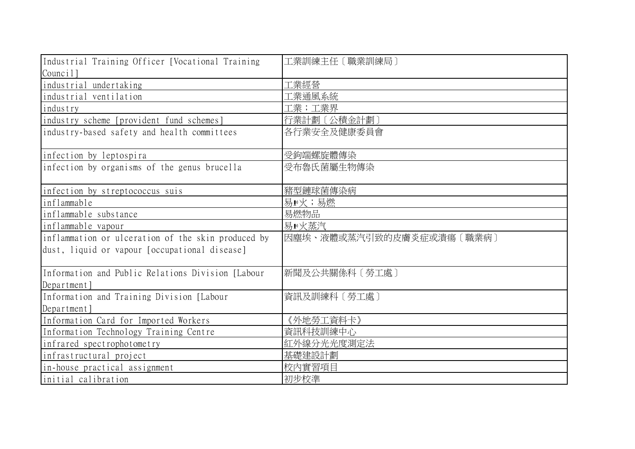| Industrial Training Officer [Vocational Training   | 工業訓練主任〔職業訓練局〕            |
|----------------------------------------------------|--------------------------|
| Council]                                           |                          |
| industrial undertaking                             | 工業經營                     |
| industrial ventilation                             | L業通風系統                   |
| industry                                           | 工業;工業界                   |
| industry scheme [provident fund schemes]           | 行業計劃〔公積金計劃〕              |
| industry-based safety and health committees        | 各行業安全及健康委員會              |
| infection by leptospira                            | 受鉤端螺旋體傳染                 |
| infection by organisms of the genus brucella       | 受布魯氏菌屬生物傳染               |
| infection by streptococcus suis                    | 豬型鏈球菌傳染病                 |
| inflammable                                        | 易 ■火;易燃                  |
| inflammable substance                              | 易燃物品                     |
| inflammable vapour                                 | 易!火蒸汽                    |
| inflammation or ulceration of the skin produced by | 因塵埃、液體或蒸汽引致的皮膚炎症或潰瘍〔職業病〕 |
| dust, liquid or vapour [occupational disease]      |                          |
| Information and Public Relations Division [Labour  | 新聞及公共關係科〔勞工處〕            |
| Department                                         |                          |
| Information and Training Division [Labour          | 資訊及訓練科〔勞工處〕              |
| Department]                                        |                          |
| Information Card for Imported Workers              | 《外地勞工資料卡》                |
| Information Technology Training Centre             | 資訊科技訓練中心                 |
| infrared spectrophotometry                         | 紅外線分光光度測定法               |
| infrastructural project                            | 基礎建設計劃                   |
| in-house practical assignment                      | 校内實習項目                   |
| initial calibration                                | 初步校準                     |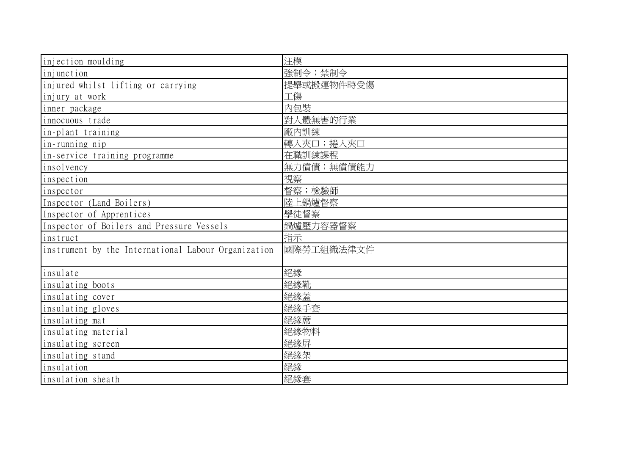| injection moulding                                  | 注模         |
|-----------------------------------------------------|------------|
| injunction                                          | 強制令;禁制令    |
| injured whilst lifting or carrying                  | 提舉或搬運物件時受傷 |
| injury at work                                      | 工傷         |
| inner package                                       | 内包裝        |
| innocuous trade                                     | 對人體無害的行業   |
| in-plant training                                   | 廠內訓練       |
| in-running nip                                      | 轉入夾口;捲入夾口  |
| in-service training programme                       | 在職訓練課程     |
| insolvency                                          | 無力償債;無償債能力 |
| inspection                                          | 視察         |
| inspector                                           | 督察;檢驗師     |
| Inspector (Land Boilers)                            | 陸上鍋爐督察     |
| Inspector of Apprentices                            | 學徒督察       |
| Inspector of Boilers and Pressure Vessels           | 鍋爐壓力容器督察   |
| instruct                                            | 指示         |
| instrument by the International Labour Organization | 國際勞工組織法律文件 |
|                                                     |            |
| insulate                                            | 絕緣         |
| insulating boots                                    | 絕緣靴        |
| insulating cover                                    | 絕緣蓋        |
| insulating gloves                                   | 絕緣手套       |
| insulating mat                                      | 絕緣蓆        |
| insulating material                                 | 絕緣物料       |
| insulating screen                                   | 絕緣屏        |
| insulating stand                                    | 絕緣架        |
| insulation                                          | 絕緣         |
| insulation sheath                                   | 絕緣套        |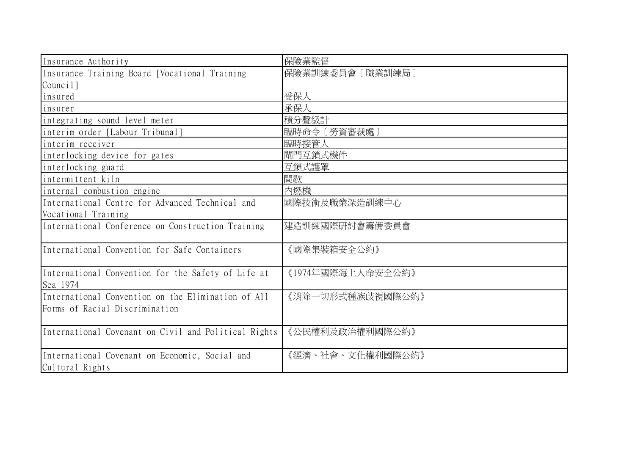| Insurance Authority                                               | 保險業監督             |
|-------------------------------------------------------------------|-------------------|
| Insurance Training Board [Vocational Training]                    | 保險業訓練委員會〔職業訓練局〕   |
| Council]                                                          |                   |
| insured                                                           | 受保人               |
| insurer                                                           | 承保人               |
| integrating sound level meter                                     | 積分聲級計             |
| interim order [Labour Tribunal]                                   | 臨時命令〔勞資審裁處〕       |
| interim receiver                                                  | 臨時接管人             |
| interlocking device for gates                                     | 閘門互鎖式機件           |
| interlocking guard                                                | 互鎖式護罩             |
| intermittent kiln                                                 | 間歇                |
| internal combustion engine                                        | 內燃機               |
| International Centre for Advanced Technical and                   | 國際技術及職業深造訓練中心     |
| Vocational Training                                               |                   |
| International Conference on Construction Training                 | 建造訓練國際研討會籌備委員會    |
| International Convention for Safe Containers                      | 《國際集裝箱安全公約》       |
| International Convention for the Safety of Life at<br>Sea 1974    | 《1974年國際海上人命安全公約》 |
| International Convention on the Elimination of All                | 《消除一切形式種族歧視國際公約》  |
| Forms of Racial Discrimination                                    |                   |
| International Covenant on Civil and Political Rights              | 《公民權利及政治權利國際公約》   |
| International Covenant on Economic, Social and<br>Cultural Rights | 《經濟、社會、文化權利國際公約》  |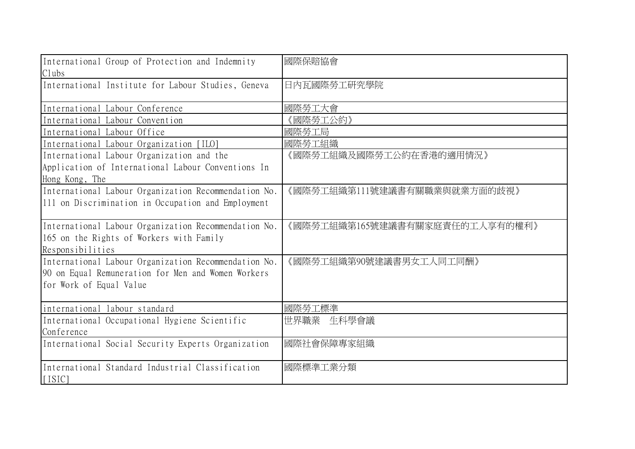| International Group of Protection and Indemnity<br>Clubs                                                             | 國際保賠協會                         |
|----------------------------------------------------------------------------------------------------------------------|--------------------------------|
| International Institute for Labour Studies, Geneva                                                                   | 日内瓦國際勞工研究學院                    |
| International Labour Conference                                                                                      | 國際勞工大會                         |
| International Labour Convention                                                                                      | 國際勞工公約》                        |
| International Labour Office                                                                                          | 國際勞工局                          |
| International Labour Organization [ILO]                                                                              | 國際勞工組織                         |
| International Labour Organization and the                                                                            | 《國際勞工組織及國際勞工公約在香港的適用情況》        |
| Application of International Labour Conventions In                                                                   |                                |
| Hong Kong, The                                                                                                       |                                |
| International Labour Organization Recommendation No.                                                                 | 《國際勞工組織第111號建議書有關職業與就業方面的歧視》   |
| 111 on Discrimination in Occupation and Employment                                                                   |                                |
| International Labour Organization Recommendation No.<br>165 on the Rights of Workers with Family<br>Responsibilities | 《國際勞工組織第165號建議書有關家庭責任的工人享有的權利》 |
| International Labour Organization Recommendation No.                                                                 | 《國際勞工組織第90號建議書男女工人同工同酬》        |
| 90 on Equal Remuneration for Men and Women Workers                                                                   |                                |
| for Work of Equal Value                                                                                              |                                |
| international labour standard                                                                                        | 國際勞工標準                         |
| International Occupational Hygiene Scientific                                                                        | 世界職業<br>生科學會議                  |
| Conference                                                                                                           |                                |
| International Social Security Experts Organization                                                                   | 國際社會保障專家組織                     |
| International Standard Industrial Classification<br>$[$ [ $ $ SIC]                                                   | 國際標準工業分類                       |